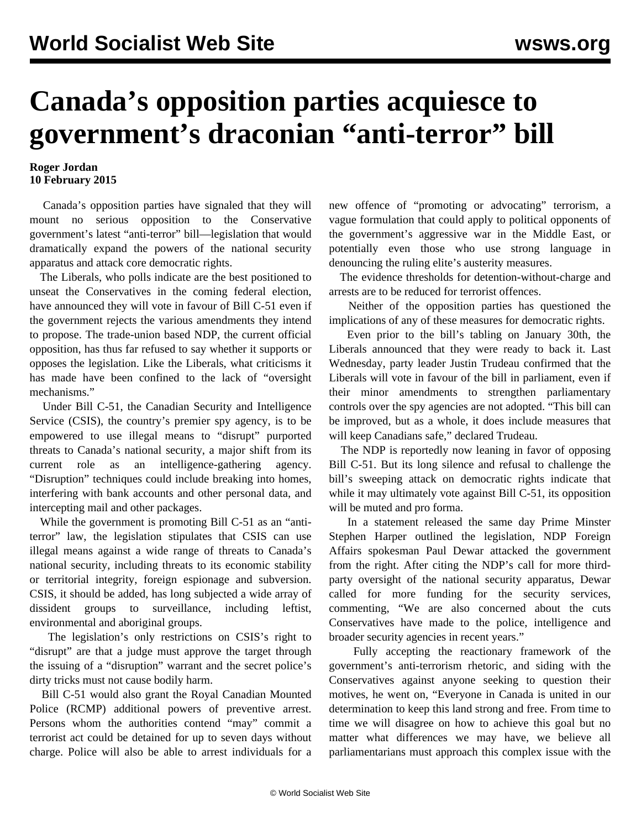## **Canada's opposition parties acquiesce to government's draconian "anti-terror" bill**

## **Roger Jordan 10 February 2015**

 Canada's opposition parties have signaled that they will mount no serious opposition to the Conservative government's latest "anti-terror" bill—legislation that would dramatically expand the powers of the national security apparatus and attack core democratic rights.

 The Liberals, who polls indicate are the best positioned to unseat the Conservatives in the coming federal election, have announced they will vote in favour of Bill C-51 even if the government rejects the various amendments they intend to propose. The trade-union based NDP, the current official opposition, has thus far refused to say whether it supports or opposes the legislation. Like the Liberals, what criticisms it has made have been confined to the lack of "oversight mechanisms."

 Under Bill C-51, the Canadian Security and Intelligence Service (CSIS), the country's premier spy agency, is to be empowered to use illegal means to "disrupt" purported threats to Canada's national security, a major shift from its current role as an intelligence-gathering agency. "Disruption" techniques could include breaking into homes, interfering with bank accounts and other personal data, and intercepting mail and other packages.

 While the government is promoting Bill C-51 as an "antiterror" law, the legislation stipulates that CSIS can use illegal means against a wide range of threats to Canada's national security, including threats to its economic stability or territorial integrity, foreign espionage and subversion. CSIS, it should be added, has long subjected a wide array of dissident groups to surveillance, including leftist, environmental and aboriginal groups.

 The legislation's only restrictions on CSIS's right to "disrupt" are that a judge must approve the target through the issuing of a "disruption" warrant and the secret police's dirty tricks must not cause bodily harm.

 Bill C-51 would also grant the Royal Canadian Mounted Police (RCMP) additional powers of preventive arrest. Persons whom the authorities contend "may" commit a terrorist act could be detained for up to seven days without charge. Police will also be able to arrest individuals for a new offence of "promoting or advocating" terrorism, a vague formulation that could apply to political opponents of the government's aggressive war in the Middle East, or potentially even those who use strong language in denouncing the ruling elite's austerity measures.

 The evidence thresholds for detention-without-charge and arrests are to be reduced for terrorist offences.

 Neither of the opposition parties has questioned the implications of any of these measures for democratic rights.

 Even prior to the bill's tabling on January 30th, the Liberals announced that they were ready to back it. Last Wednesday, party leader Justin Trudeau confirmed that the Liberals will vote in favour of the bill in parliament, even if their minor amendments to strengthen parliamentary controls over the spy agencies are not adopted. "This bill can be improved, but as a whole, it does include measures that will keep Canadians safe," declared Trudeau.

 The NDP is reportedly now leaning in favor of opposing Bill C-51. But its long silence and refusal to challenge the bill's sweeping attack on democratic rights indicate that while it may ultimately vote against Bill C-51, its opposition will be muted and pro forma.

 In a statement released the same day Prime Minster Stephen Harper outlined the legislation, NDP Foreign Affairs spokesman Paul Dewar attacked the government from the right. After citing the NDP's call for more thirdparty oversight of the national security apparatus, Dewar called for more funding for the security services, commenting, "We are also concerned about the cuts Conservatives have made to the police, intelligence and broader security agencies in recent years."

 Fully accepting the reactionary framework of the government's anti-terrorism rhetoric, and siding with the Conservatives against anyone seeking to question their motives, he went on, "Everyone in Canada is united in our determination to keep this land strong and free. From time to time we will disagree on how to achieve this goal but no matter what differences we may have, we believe all parliamentarians must approach this complex issue with the